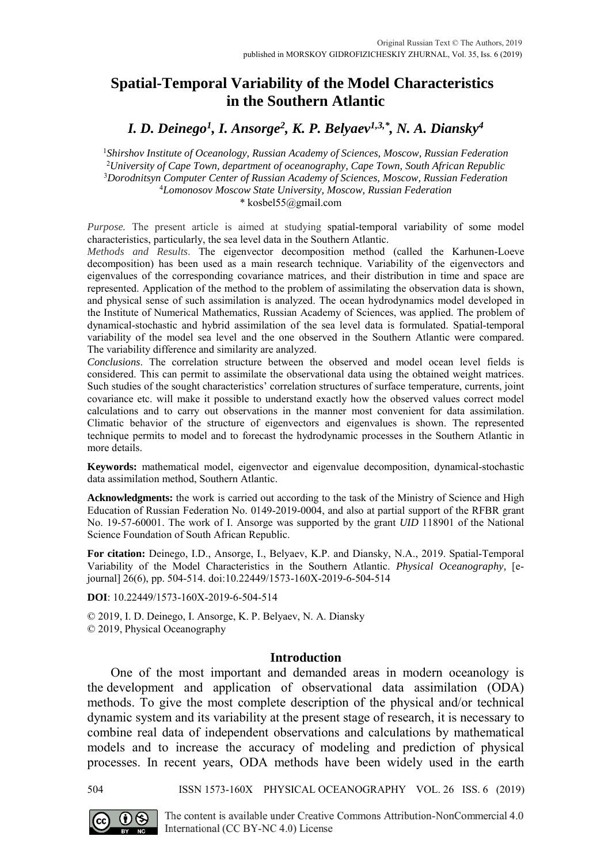# **Spatial-Temporal Variability of the Model Characteristics in the Southern Atlantic**

*I. D. Deinego<sup>1</sup> , I. Ansorge<sup>2</sup> , K. P. Belyaev1,3,\* , N. A. Diansky<sup>4</sup>*

*Shirshov Institute of Oceanology, Russian Academy of Sciences, Moscow, Russian Federation University of Cape Town, department of oceanography, Cape Town, South African Republic Dorodnitsyn Computer Center of Russian Academy of Sciences, Moscow, Russian Federation Lomonosov Moscow State University, Moscow, Russian Federation*

\* kosbel55@gmail.com

*Purpose.* The present article is aimed at studying spatial-temporal variability of some model characteristics, particularly, the sea level data in the Southern Atlantic.

*Methods and Results*. The eigenvector decomposition method (called the Karhunen-Loeve decomposition) has been used as a main research technique. Variability of the eigenvectors and eigenvalues of the corresponding covariance matrices, and their distribution in time and space are represented. Application of the method to the problem of assimilating the observation data is shown, and physical sense of such assimilation is analyzed. The ocean hydrodynamics model developed in the Institute of Numerical Mathematics, Russian Academy of Sciences, was applied. The problem of dynamical-stochastic and hybrid assimilation of the sea level data is formulated. Spatial-temporal variability of the model sea level and the one observed in the Southern Atlantic were compared. The variability difference and similarity are analyzed.

*Conclusions*. The correlation structure between the observed and model ocean level fields is considered. This can permit to assimilate the observational data using the obtained weight matrices. Such studies of the sought characteristics' correlation structures of surface temperature, currents, joint covariance etc. will make it possible to understand exactly how the observed values correct model calculations and to carry out observations in the manner most convenient for data assimilation. Climatic behavior of the structure of eigenvectors and eigenvalues is shown. The represented technique permits to model and to forecast the hydrodynamic processes in the Southern Atlantic in more details.

**Keywords:** mathematical model, eigenvector and eigenvalue decomposition, dynamical-stochastic data assimilation method, Southern Atlantic.

**Acknowledgments:** the work is carried out according to the task of the Ministry of Science and High Education of Russian Federation No. 0149-2019-0004, and also at partial support of the RFBR grant No. 19-57-60001. The work of I. Ansorge was supported by the grant *UID* 118901 of the National Science Foundation of South African Republic.

**For citation:** Deinego, I.D., Ansorge, I., Belyaev, K.P. and Diansky, N.A., 2019. Spatial-Temporal Variability of the Model Characteristics in the Southern Atlantic. *Physical Oceanography,* [ejournal] 26(6), pp. 504-514. doi:10.22449/1573-160X-2019-6-504-514

**DOI**: 10.22449/1573-160X-2019-6-504-514

© 2019, I. D. Deinego, I. Ansorge, K. P. Belyaev, N. A. Diansky © 2019, Physical Oceanography

## **Introduction**

One of the most important and demanded areas in modern oceanology is the development and application of observational data assimilation (ODA) methods. To give the most complete description of the physical and/or technical dynamic system and its variability at the present stage of research, it is necessary to combine real data of independent observations and calculations by mathematical models and to increase the accuracy of modeling and prediction of physical processes. In recent years, ODA methods have been widely used in the earth

504 ISSN 1573-160X PHYSICAL OCEANOGRAPHY VOL. 26 ISS. 6 (2019)



The content is available under Creative Commons Attribution-NonCommercial 4.0 International (CC BY-NC 4.0) License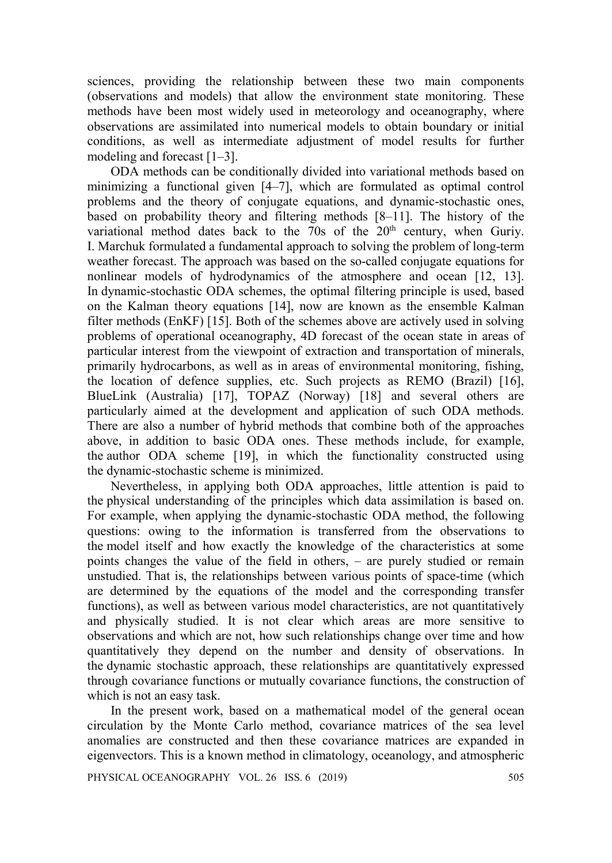sciences, providing the relationship between these two main components (observations and models) that allow the environment state monitoring. These methods have been most widely used in meteorology and oceanography, where observations are assimilated into numerical models to obtain boundary or initial conditions, as well as intermediate adjustment of model results for further modeling and forecast [1–3].

ODA methods can be conditionally divided into variational methods based on minimizing a functional given [4–7], which are formulated as optimal control problems and the theory of conjugate equations, and dynamic-stochastic ones, based on probability theory and filtering methods [8–11]. The history of the variational method dates back to the 70s of the 20<sup>th</sup> century, when Guriy. I. Marchuk formulated a fundamental approach to solving the problem of long-term weather forecast. The approach was based on the so-called conjugate equations for nonlinear models of hydrodynamics of the atmosphere and ocean [12, 13]. In dynamic-stochastic ODA schemes, the optimal filtering principle is used, based on the Kalman theory equations [14], now are known as the ensemble Kalman filter methods (EnKF) [15]. Both of the schemes above are actively used in solving problems of operational oceanography, 4D forecast of the ocean state in areas of particular interest from the viewpoint of extraction and transportation of minerals, primarily hydrocarbons, as well as in areas of environmental monitoring, fishing, the location of defence supplies, etc. Such projects as REMO (Brazil) [16], BlueLink (Australia) [17], TOPAZ (Norway) [18] and several others are particularly aimed at the development and application of such ODA methods. There are also a number of hybrid methods that combine both of the approaches above, in addition to basic ODA ones. These methods include, for example, the author ODA scheme [19], in which the functionality constructed using the dynamic-stochastic scheme is minimized.

Nevertheless, in applying both ODA approaches, little attention is paid to the physical understanding of the principles which data assimilation is based on. For example, when applying the dynamic-stochastic ODA method, the following questions: owing to the information is transferred from the observations to the model itself and how exactly the knowledge of the characteristics at some points changes the value of the field in others, – are purely studied or remain unstudied. That is, the relationships between various points of space-time (which are determined by the equations of the model and the corresponding transfer functions), as well as between various model characteristics, are not quantitatively and physically studied. It is not clear which areas are more sensitive to observations and which are not, how such relationships change over time and how quantitatively they depend on the number and density of observations. In the dynamic stochastic approach, these relationships are quantitatively expressed through covariance functions or mutually covariance functions, the construction of which is not an easy task.

In the present work, based on a mathematical model of the general ocean circulation by the Monte Carlo method, covariance matrices of the sea level anomalies are constructed and then these covariance matrices are expanded in eigenvectors. This is a known method in climatology, oceanology, and atmospheric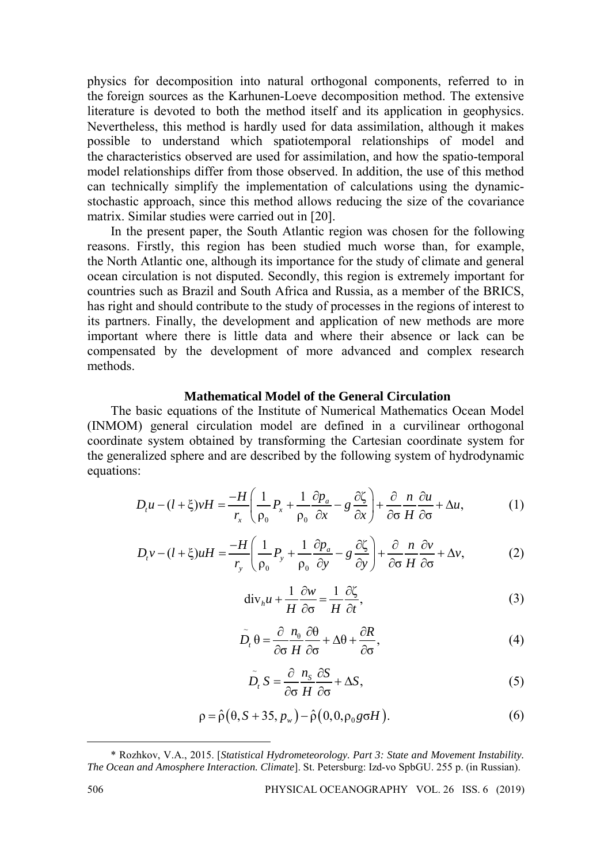physics for decomposition into natural orthogonal components, referred to in the foreign sources as the Karhunen-Loeve decomposition method. The extensive literature is devoted to both the method itself and its application in geophysics. Nevertheless, this method is hardly used for data assimilation, although it makes possible to understand which spatiotemporal relationships of model and the characteristics observed are used for assimilation, and how the spatio-temporal model relationships differ from those observed. In addition, the use of this method can technically simplify the implementation of calculations using the dynamicstochastic approach, since this method allows reducing the size of the covariance matrix. Similar studies were carried out in [20].

In the present paper, the South Atlantic region was chosen for the following reasons. Firstly, this region has been studied much worse than, for example, the North Atlantic one, although its importance for the study of climate and general ocean circulation is not disputed. Secondly, this region is extremely important for countries such as Brazil and South Africa and Russia, as a member of the BRICS, has right and should contribute to the study of processes in the regions of interest to its partners. Finally, the development and application of new methods are more important where there is little data and where their absence or lack can be compensated by the development of more advanced and complex research methods.

## **Mathematical Model of the General Circulation**

The basic equations of the Institute of Numerical Mathematics Ocean Model (INMOM) general circulation model are defined in a curvilinear orthogonal coordinate system obtained by transforming the Cartesian coordinate system for the generalized sphere and are described by the following system of hydrodynamic equations:

$$
D_t u - (l + \xi)vH = \frac{-H}{r_x} \left( \frac{1}{\rho_0} P_x + \frac{1}{\rho_0} \frac{\partial p_a}{\partial x} - g \frac{\partial \zeta}{\partial x} \right) + \frac{\partial}{\partial \sigma} \frac{n}{H} \frac{\partial u}{\partial \sigma} + \Delta u, \tag{1}
$$

$$
D_{\iota}v - (l + \xi)uH = \frac{-H}{r_y} \left( \frac{1}{\rho_0} P_y + \frac{1}{\rho_0} \frac{\partial p_a}{\partial y} - g \frac{\partial \zeta}{\partial y} \right) + \frac{\partial}{\partial \sigma} \frac{n}{H} \frac{\partial v}{\partial \sigma} + \Delta v, \tag{2}
$$

$$
\operatorname{div}_{h} u + \frac{1}{H} \frac{\partial w}{\partial \sigma} = \frac{1}{H} \frac{\partial \zeta}{\partial t},
$$
\n(3)

$$
\widetilde{D}_t \theta = \frac{\partial}{\partial \sigma} \frac{n_\theta}{H} \frac{\partial \theta}{\partial \sigma} + \Delta \theta + \frac{\partial R}{\partial \sigma},
$$
\n(4)

$$
\tilde{D}_t S = \frac{\partial}{\partial \sigma} \frac{n_s}{H} \frac{\partial S}{\partial \sigma} + \Delta S, \tag{5}
$$

$$
\rho = \hat{\rho}(\theta, S + 35, p_w) - \hat{\rho}(0, 0, \rho_0 g \sigma H). \tag{6}
$$

<sup>\*</sup> Rozhkov, V.A., 2015. [*Statistical Hydrometeorology. Part 3: State and Movement Instability. The Ocean and Amosphere Interaction. Climate*]. St. Petersburg: Izd-vo SpbGU. 255 p. (in Russian).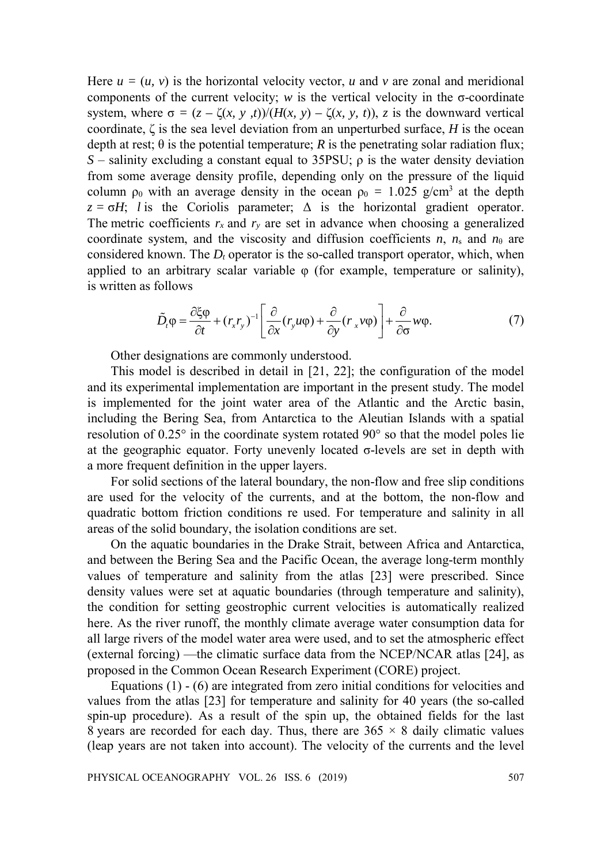Here  $u = (u, v)$  is the horizontal velocity vector, *u* and *v* are zonal and meridional components of the current velocity; *w* is the vertical velocity in the  $\sigma$ -coordinate system, where  $\sigma = (z - \zeta(x, y, t))/(H(x, y) - \zeta(x, y, t))$ , *z* is the downward vertical coordinate, ζ is the sea level deviation from an unperturbed surface, *H* is the ocean depth at rest;  $\theta$  is the potential temperature; *R* is the penetrating solar radiation flux; *S* – salinity excluding a constant equal to 35PSU;  $ρ$  is the water density deviation from some average density profile, depending only on the pressure of the liquid column  $\rho_0$  with an average density in the ocean  $\rho_0 = 1.025$  g/cm<sup>3</sup> at the depth  $z = \sigma H$ ; *l* is the Coriolis parameter;  $\Delta$  is the horizontal gradient operator. The metric coefficients  $r_x$  and  $r_y$  are set in advance when choosing a generalized coordinate system, and the viscosity and diffusion coefficients  $n$ ,  $n_s$  and  $n_\theta$  are considered known. The  $D_t$  operator is the so-called transport operator, which, when applied to an arbitrary scalar variable  $\varphi$  (for example, temperature or salinity), is written as follows

$$
\tilde{D}_t \varphi = \frac{\partial \xi \varphi}{\partial t} + (r_x r_y)^{-1} \left[ \frac{\partial}{\partial x} (r_y u \varphi) + \frac{\partial}{\partial y} (r_x v \varphi) \right] + \frac{\partial}{\partial \sigma} w \varphi.
$$
\n(7)

Other designations are commonly understood.

This model is described in detail in [21, 22]; the configuration of the model and its experimental implementation are important in the present study. The model is implemented for the joint water area of the Atlantic and the Arctic basin, including the Bering Sea, from Antarctica to the Aleutian Islands with a spatial resolution of 0.25° in the coordinate system rotated 90° so that the model poles lie at the geographic equator. Forty unevenly located  $\sigma$ -levels are set in depth with a more frequent definition in the upper layers.

For solid sections of the lateral boundary, the non-flow and free slip conditions are used for the velocity of the currents, and at the bottom, the non-flow and quadratic bottom friction conditions re used. For temperature and salinity in all areas of the solid boundary, the isolation conditions are set.

On the aquatic boundaries in the Drake Strait, between Africa and Antarctica, and between the Bering Sea and the Pacific Ocean, the average long-term monthly values of temperature and salinity from the atlas [23] were prescribed. Since density values were set at aquatic boundaries (through temperature and salinity), the condition for setting geostrophic current velocities is automatically realized here. As the river runoff, the monthly climate average water consumption data for all large rivers of the model water area were used, and to set the atmospheric effect (external forcing) —the climatic surface data from the NCEP/NCAR atlas [24], as proposed in the Common Ocean Research Experiment (CORE) project.

Equations (1) - (6) are integrated from zero initial conditions for velocities and values from the atlas [23] for temperature and salinity for 40 years (the so-called spin-up procedure). As a result of the spin up, the obtained fields for the last 8 years are recorded for each day. Thus, there are  $365 \times 8$  daily climatic values (leap years are not taken into account). The velocity of the currents and the level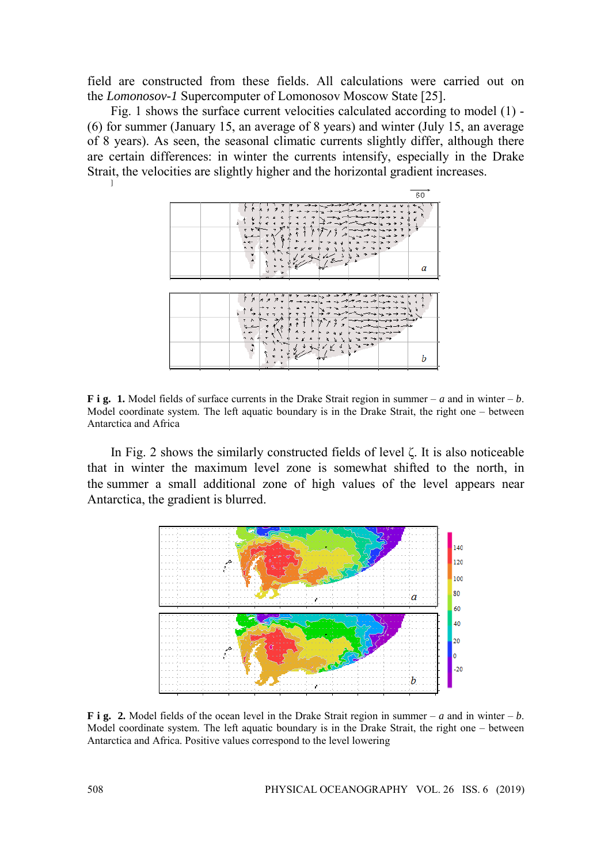field are constructed from these fields. All calculations were carried out on the *Lomonosov-1* Supercomputer of Lomonosov Moscow State [25].

Fig. 1 shows the surface current velocities calculated according to model (1) - (6) for summer (January 15, an average of 8 years) and winter (July 15, an average of 8 years). As seen, the seasonal climatic currents slightly differ, although there are certain differences: in winter the currents intensify, especially in the Drake Strait, the velocities are slightly higher and the horizontal gradient increases.



**F** i g. 1. Model fields of surface currents in the Drake Strait region in summer – *a* and in winter – *b*. Model coordinate system. The left aquatic boundary is in the Drake Strait, the right one – between Antarctica and Africa

In Fig. 2 shows the similarly constructed fields of level ζ. It is also noticeable that in winter the maximum level zone is somewhat shifted to the north, in the summer a small additional zone of high values of the level appears near Antarctica, the gradient is blurred.



**F** i g. 2. Model fields of the ocean level in the Drake Strait region in summer – *a* and in winter – *b*. Model coordinate system. The left aquatic boundary is in the Drake Strait, the right one – between Antarctica and Africa. Positive values correspond to the level lowering

]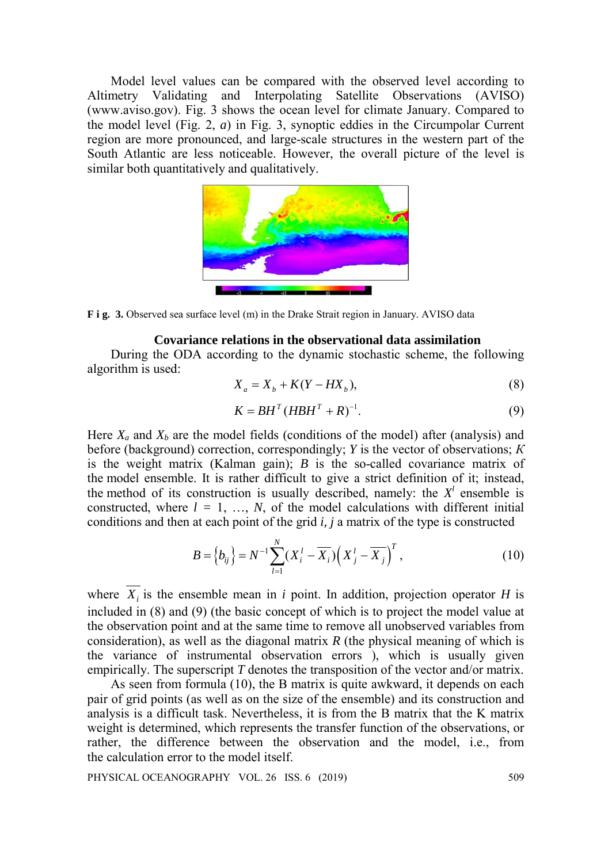Model level values can be compared with the observed level according to Altimetry Validating and Interpolating Satellite Observations (AVISO) (www.aviso.gov). Fig. 3 shows the ocean level for climate January. Compared to the model level (Fig. 2, *a*) in Fig. 3, synoptic eddies in the Circumpolar Current region are more pronounced, and large-scale structures in the western part of the South Atlantic are less noticeable. However, the overall picture of the level is similar both quantitatively and qualitatively.



**F i g. 3.** Observed sea surface level (m) in the Drake Strait region in January. AVISO data

## **Covariance relations in the observational data assimilation**

During the ODA according to the dynamic stochastic scheme, the following algorithm is used:

$$
X_a = X_b + K(Y - HX_b),\tag{8}
$$

$$
K = BHT (HBHT + R)-1.
$$
 (9)

Here  $X_a$  and  $X_b$  are the model fields (conditions of the model) after (analysis) and before (background) correction, correspondingly; *Y* is the vector of observations; *К* is the weight matrix (Kalman gain); *B* is the so-called covariance matrix of the model ensemble. It is rather difficult to give a strict definition of it; instead, the method of its construction is usually described, namely: the  $X<sup>l</sup>$  ensemble is constructed, where  $l = 1, ..., N$ , of the model calculations with different initial conditions and then at each point of the grid *i, j* a matrix of the type is constructed

$$
B = \left\{ b_{ij} \right\} = N^{-1} \sum_{l=1}^{N} (X_i^l - \overline{X_i}) \left( X_j^l - \overline{X_j} \right)^T, \tag{10}
$$

where  $\overline{X_i}$  is the ensemble mean in *i* point. In addition, projection operator *H* is included in (8) and (9) (the basic concept of which is to project the model value at the observation point and at the same time to remove all unobserved variables from consideration), as well as the diagonal matrix *R* (the physical meaning of which is the variance of instrumental observation errors ), which is usually given empirically. The superscript *T* denotes the transposition of the vector and/or matrix.

As seen from formula (10), the B matrix is quite awkward, it depends on each pair of grid points (as well as on the size of the ensemble) and its construction and analysis is a difficult task. Nevertheless, it is from the B matrix that the K matrix weight is determined, which represents the transfer function of the observations, or rather, the difference between the observation and the model, i.e., from the calculation error to the model itself.

PHYSICAL OCEANOGRAPHY VOL. 26 ISS. 6 (2019) 509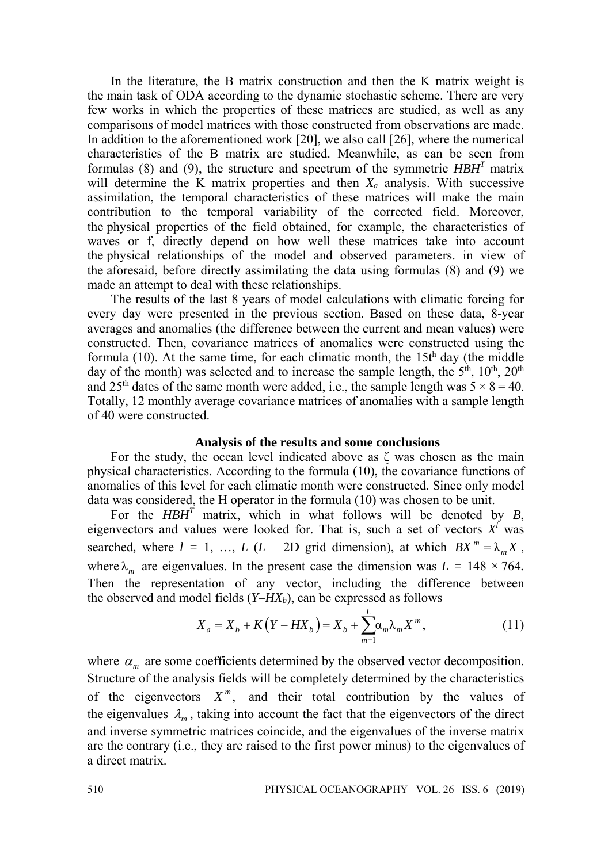In the literature, the B matrix construction and then the K matrix weight is the main task of ODA according to the dynamic stochastic scheme. There are very few works in which the properties of these matrices are studied, as well as any comparisons of model matrices with those constructed from observations are made. In addition to the aforementioned work [20], we also call [26], where the numerical characteristics of the B matrix are studied. Meanwhile, as can be seen from formulas (8) and (9), the structure and spectrum of the symmetric *HBHT* matrix will determine the K matrix properties and then *Xa* analysis. With successive assimilation, the temporal characteristics of these matrices will make the main contribution to the temporal variability of the corrected field. Moreover, the physical properties of the field obtained, for example, the characteristics of waves or f, directly depend on how well these matrices take into account the physical relationships of the model and observed parameters. in view of the aforesaid, before directly assimilating the data using formulas (8) and (9) we made an attempt to deal with these relationships.

The results of the last 8 years of model calculations with climatic forcing for every day were presented in the previous section. Based on these data, 8-year averages and anomalies (the difference between the current and mean values) were constructed. Then, covariance matrices of anomalies were constructed using the formula (10). At the same time, for each climatic month, the  $15t<sup>h</sup>$  day (the middle day of the month) was selected and to increase the sample length, the  $5<sup>th</sup>$ ,  $10<sup>th</sup>$ ,  $20<sup>th</sup>$ and 25<sup>th</sup> dates of the same month were added, i.e., the sample length was  $5 \times 8 = 40$ . Totally, 12 monthly average covariance matrices of anomalies with a sample length of 40 were constructed.

#### **Analysis of the results and some conclusions**

For the study, the ocean level indicated above as  $\zeta$  was chosen as the main physical characteristics. According to the formula (10), the covariance functions of anomalies of this level for each climatic month were constructed. Since only model data was considered, the H operator in the formula (10) was chosen to be unit.

For the  $H \times H^T$  matrix, which in what follows will be denoted by  $B$ , eigenvectors and values were looked for. That is, such a set of vectors  $X^{\ell}$  was searched, where  $l = 1, ..., L$  ( $L - 2D$  grid dimension), at which  $BX^m = \lambda_m X$ , where  $\lambda_m$  are eigenvalues. In the present case the dimension was  $L = 148 \times 764$ . Then the representation of any vector, including the difference between the observed and model fields  $(Y-HX_b)$ , can be expressed as follows

$$
X_{a} = X_{b} + K(Y - HX_{b}) = X_{b} + \sum_{m=1}^{L} \alpha_{m} \lambda_{m} X^{m},
$$
\n(11)

where  $\alpha_m$  are some coefficients determined by the observed vector decomposition. Structure of the analysis fields will be completely determined by the characteristics of the eigenvectors  $X^m$ , and their total contribution by the values of the eigenvalues  $\lambda_m$ , taking into account the fact that the eigenvectors of the direct and inverse symmetric matrices coincide, and the eigenvalues of the inverse matrix are the contrary (i.e., they are raised to the first power minus) to the eigenvalues of a direct matrix.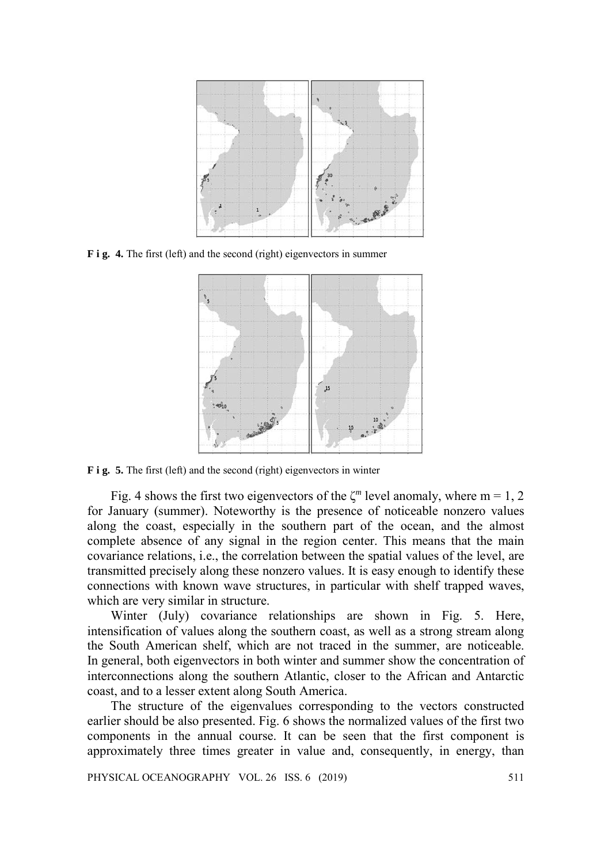

**F i g. 4.** The first (left) and the second (right) eigenvectors in summer



**F** i **g.** 5. The first (left) and the second (right) eigenvectors in winter

Fig. 4 shows the first two eigenvectors of the  $\zeta^m$  level anomaly, where m = 1, 2 for January (summer). Noteworthy is the presence of noticeable nonzero values along the coast, especially in the southern part of the ocean, and the almost complete absence of any signal in the region center. This means that the main covariance relations, i.e., the correlation between the spatial values of the level, are transmitted precisely along these nonzero values. It is easy enough to identify these connections with known wave structures, in particular with shelf trapped waves, which are very similar in structure.

Winter (July) covariance relationships are shown in Fig. 5. Here, intensification of values along the southern coast, as well as a strong stream along the South American shelf, which are not traced in the summer, are noticeable. In general, both eigenvectors in both winter and summer show the concentration of interconnections along the southern Atlantic, closer to the African and Antarctic coast, and to a lesser extent along South America.

The structure of the eigenvalues corresponding to the vectors constructed earlier should be also presented. Fig. 6 shows the normalized values of the first two components in the annual course. It can be seen that the first component is approximately three times greater in value and, consequently, in energy, than

PHYSICAL OCEANOGRAPHY VOL. 26 ISS. 6 (2019) 511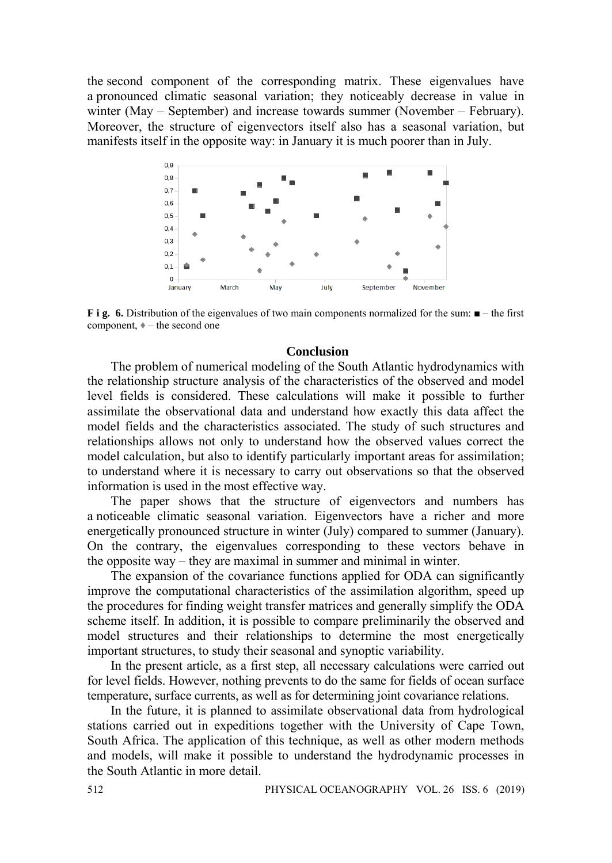the second component of the corresponding matrix. These eigenvalues have a pronounced climatic seasonal variation; they noticeably decrease in value in winter (May – September) and increase towards summer (November – February). Moreover, the structure of eigenvectors itself also has a seasonal variation, but manifests itself in the opposite way: in January it is much poorer than in July.



**F i g. 6.** Distribution of the eigenvalues of two main components normalized for the sum: ■ – the first component,  $\ast$  – the second one

### **Conclusion**

The problem of numerical modeling of the South Atlantic hydrodynamics with the relationship structure analysis of the characteristics of the observed and model level fields is considered. These calculations will make it possible to further assimilate the observational data and understand how exactly this data affect the model fields and the characteristics associated. The study of such structures and relationships allows not only to understand how the observed values correct the model calculation, but also to identify particularly important areas for assimilation; to understand where it is necessary to carry out observations so that the observed information is used in the most effective way.

The paper shows that the structure of eigenvectors and numbers has a noticeable climatic seasonal variation. Eigenvectors have a richer and more energetically pronounced structure in winter (July) compared to summer (January). On the contrary, the eigenvalues corresponding to these vectors behave in the opposite way – they are maximal in summer and minimal in winter.

The expansion of the covariance functions applied for ODA can significantly improve the computational characteristics of the assimilation algorithm, speed up the procedures for finding weight transfer matrices and generally simplify the ODA scheme itself. In addition, it is possible to compare preliminarily the observed and model structures and their relationships to determine the most energetically important structures, to study their seasonal and synoptic variability.

In the present article, as a first step, all necessary calculations were carried out for level fields. However, nothing prevents to do the same for fields of ocean surface temperature, surface currents, as well as for determining joint covariance relations.

In the future, it is planned to assimilate observational data from hydrological stations carried out in expeditions together with the University of Cape Town, South Africa. The application of this technique, as well as other modern methods and models, will make it possible to understand the hydrodynamic processes in the South Atlantic in more detail.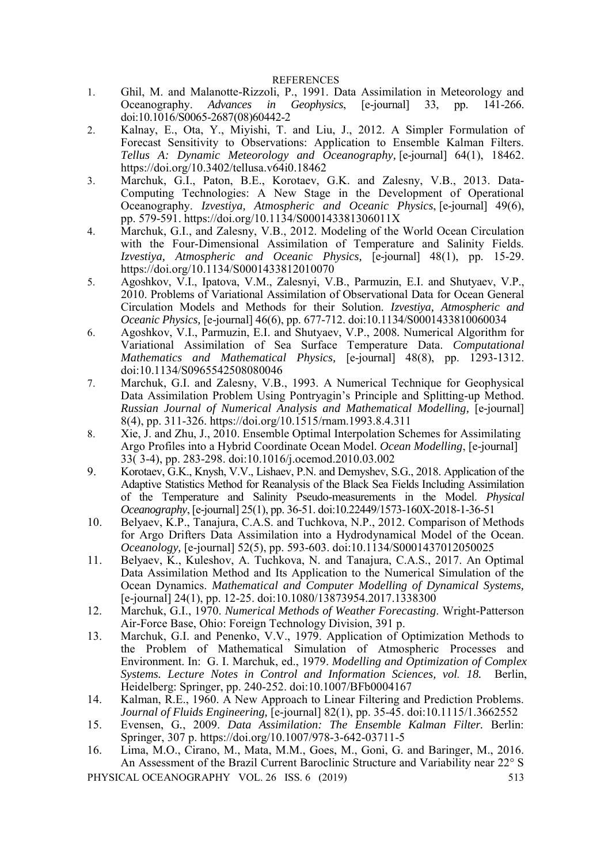#### REFERENCES

- 1. Ghil, M. and Malanotte-Rizzoli, P., 1991. Data Assimilation in Meteorology and Oceanography. Advances in Geophysics, [e-journal] 33, pp. 141-266. Advances in Geophysics, [e-journal] doi:10.1016/S0065-2687(08)60442-2
- 2. Kalnay, E., Ota, Y., Miyishi, T. and Liu, J., 2012. A Simpler Formulation of Forecast Sensitivity to Observations: Application to Ensemble Kalman Filters. *Tellus A: Dynamic Meteorology and Oceanography,* [e-journal] 64(1), 18462. <https://doi.org/10.3402/tellusa.v64i0.18462>
- 3. Marchuk, G.I., Paton, B.E., Korotaev, G.K. and Zalesny, V.B., 2013. Data-Computing Technologies: A New Stage in the Development of Operational Oceanography. *Izvestiya, Atmospheric and Oceanic Physics*, [e-journal] 49(6), pp. 579-591. https://doi.org/10.1134/S000143381306011X
- 4. Marchuk, G.I., and Zalesny, V.B., 2012. Modeling of the World Ocean Circulation with the Four-Dimensional Assimilation of Temperature and Salinity Fields. *[Izvestiya, Atmospheric and Oceanic Physics,](https://istina.msu.ru/journals/70122/)* [e-journal] 48(1), pp. 15-29. https://doi.org/10.1134/S0001433812010070
- 5. Agoshkov, V.I., Ipatova, V.M., Zalesnyi, V.B., Parmuzin, E.I. and Shutyaev, V.P., 2010. Problems of Variational Assimilation of Observational Data for Ocean General Circulation Models and Methods for their Solution. *Izvestiya, Atmospheric and Oceanic Physics,* [e-journal] 46(6), pp. 677-712. doi:10.1134/S0001433810060034
- 6. Agoshkov, V.I., Parmuzin, E.I. and Shutyaev, V.P., 2008*.* Numerical Algorithm for Variational Assimilation of Sea Surface Temperature Data. *Computational Mathematics and Mathematical Physics,* [e-journal] 48(8), pp. 1293-1312. doi:10.1134/S0965542508080046
- 7. Marchuk, G.I. and Zalesny, V.B., 1993. A Numerical Technique for Geophysical Data Assimilation Problem Using Pontryagin's Principle and Splitting-up Method. *Russian Journal of Numerical Analysis and Mathematical Modelling,* [e-journal] 8(4), pp. 311-326. https://doi.org/10.1515/rnam.1993.8.4.311
- 8. Xie, J. and Zhu, J., 2010. Ensemble Optimal Interpolation Schemes for Assimilating Argo Profiles into a Hybrid Coordinate Ocean Model. *Ocean Modelling*, [e-journal] 33( 3-4), pp. 283-298. doi:10.1016/j.ocemod.2010.03.002
- 9. Korotaev, G.K., Knysh, V.V., Lishaev, P.N. and Demyshev, S.G., 2018. Application of the Adaptive Statistics Method for Reanalysis of the Black Sea Fields Including Assimilation of the Temperature and Salinity Pseudo-measurements in the Model. *Physical Oceanography*, [e-journal] 25(1), pp. 36-51. doi:10.22449/1573-160X-2018-1-36-51
- 10. Belyaev, K.P., Tanajura, C.A.S. and Tuchkova, N.P., 2012. Comparison of Methods for Argo Drifters Data Assimilation into a Hydrodynamical Model of the Ocean. *Oceanology,* [e-journal] 52(5), pp. 593-603. doi:10.1134/S0001437012050025
- 11. Belyaev, K., Kuleshov, A. Tuchkova, N. and Tanajura, C.A.S., 2017. An Optimal Data Assimilation Method and Its Application to the Numerical Simulation of the Ocean Dynamics. *Mathematical and Computer Modelling of Dynamical Systems,* [e-journal] 24(1), pp. 12-25. doi:10.1080/13873954.2017.1338300
- 12. Marchuk, G.I., 1970. *Numerical Methods of Weather Forecasting*. Wright-Patterson Air-Force Base, Ohio: Foreign Technology Division, 391 p.
- 13. Marchuk, G.I. and Penenko, V.V., 1979. Application of Optimization Methods to the Problem of Mathematical Simulation of Atmospheric Processes and Environment. In: G. I. Marchuk, ed., 1979. *Modelling and Optimization of Complex Systems. Lecture Notes in Control and Information Sciences, vol. 18.* Berlin, Heidelberg: Springer, pp. 240-252. doi:10.1007/BFb0004167
- 14. Kalman, R.E., 1960. A New Approach to Linear Filtering and Prediction Problems. *Journal of Fluids Engineering,* [e-journal] 82(1), pp. 35-45. doi:10.1115/1.3662552
- 15. Evensen, G*.*, 2009. *Data Assimilation: The Ensemble Kalman Filter.* Berlin: Springer, 307 p. https://doi.org/10.1007/978-3-642-03711-5
- 16. Lima, M.O., Cirano, M., Mata, M.M., Goes, M., Goni, G. and Baringer, M., 2016. An Assessment of the Brazil Current Baroclinic Structure and Variability near 22° S

PHYSICAL OCEANOGRAPHY VOL. 26 ISS. 6 (2019) 513